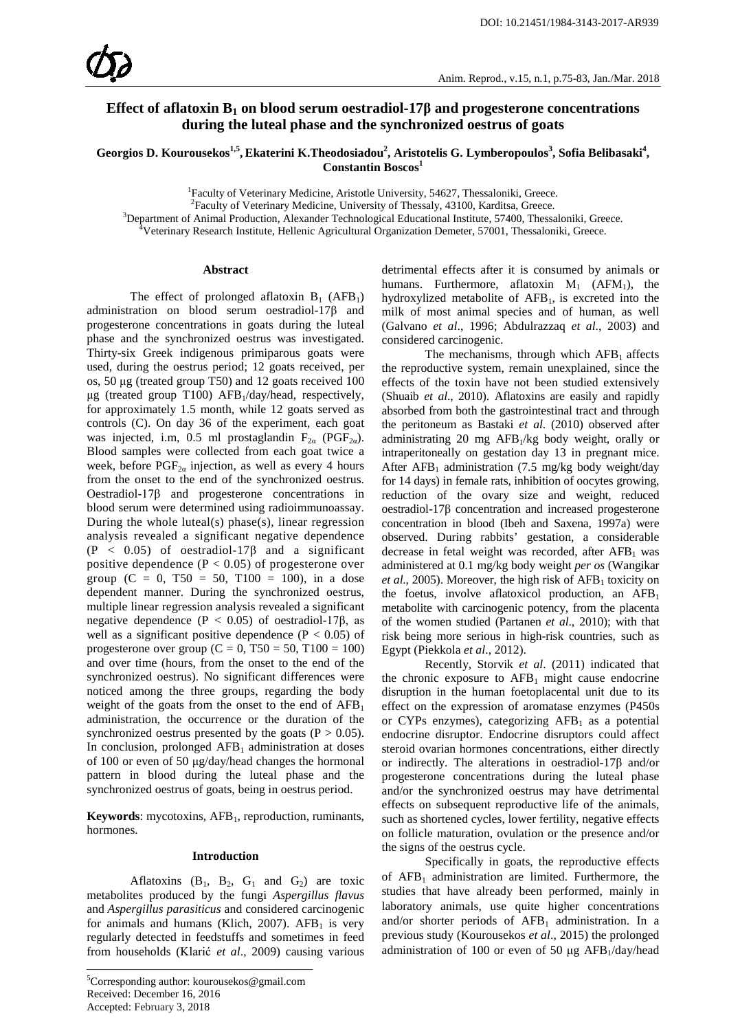# **Effect of aflatoxin B1 on blood serum oestradiol-17β and progesterone concentrations during the luteal phase and the synchronized oestrus of goats**

Georgios D. Kourousekos<sup>1,5</sup>, Ekaterini K.Theodosiadou<sup>2</sup>, Aristotelis G. Lymberopoulos<sup>3</sup>, Sofia Belibasaki<sup>4</sup>, Constantin Boscos<sup>1</sup>

<sup>1</sup> Faculty of Veterinary Medicine, Aristotle University, 54627, Thessaloniki, Greece.<br><sup>2</sup> Faculty of Veterinary Medicine, University of Thessaly, 43100, Karditas, Greece.

<sup>2</sup>Faculty of Veterinary Medicine, University of Thessaly, 43100, Karditsa, Greece.

<sup>3</sup>Department of Animal Production, Alexander Technological Educational Institute, 57400, Thessaloniki, Greece.

Veterinary Research Institute, Hellenic Agricultural Organization Demeter, 57001, Thessaloniki, Greece.

#### **Abstract**

The effect of prolonged aflatoxin  $B_1$  (AFB<sub>1</sub>) administration on blood serum oestradiol-17β and progesterone concentrations in goats during the luteal phase and the synchronized oestrus was investigated. Thirty-six Greek indigenous primiparous goats were used, during the oestrus period; 12 goats received, per os, 50 μg (treated group T50) and 12 goats received 100 μg (treated group T100)  $AFB_1/day/head$ , respectively, for approximately 1.5 month, while 12 goats served as controls (C). On day 36 of the experiment, each goat was injected, i.m, 0.5 ml prostaglandin  $F_{2\alpha}$  (PGF<sub>2a</sub>). Blood samples were collected from each goat twice a week, before  $PGF_{2\alpha}$  injection, as well as every 4 hours from the onset to the end of the synchronized oestrus. Oestradiol-17β and progesterone concentrations in blood serum were determined using radioimmunoassay. During the whole luteal(s) phase(s), linear regression analysis revealed a significant negative dependence  $(P < 0.05)$  of oestradiol-17 $\beta$  and a significant positive dependence  $(P < 0.05)$  of progesterone over group (C = 0, T50 = 50, T100 = 100), in a dose dependent manner. During the synchronized oestrus, multiple linear regression analysis revealed a significant negative dependence ( $P < 0.05$ ) of oestradiol-17β, as well as a significant positive dependence  $(P < 0.05)$  of progesterone over group ( $C = 0$ , T50 = 50, T100 = 100) and over time (hours, from the onset to the end of the synchronized oestrus). No significant differences were noticed among the three groups, regarding the body weight of the goats from the onset to the end of  $AFB<sub>1</sub>$ administration, the occurrence or the duration of the synchronized oestrus presented by the goats ( $P > 0.05$ ). In conclusion, prolonged  $AFB<sub>1</sub>$  administration at doses of 100 or even of 50 μg/day/head changes the hormonal pattern in blood during the luteal phase and the synchronized oestrus of goats, being in oestrus period.

**Keywords**: mycotoxins, AFB<sub>1</sub>, reproduction, ruminants, hormones.

## **Introduction**

Aflatoxins  $(B_1, B_2, G_1$  and  $G_2$ ) are toxic metabolites produced by the fungi *Aspergillus flavus*  and *Aspergillus parasiticus* and considered carcinogenic for animals and humans (Klich, 2007).  $AFB<sub>1</sub>$  is very regularly detected in feedstuffs and sometimes in feed from households (Klarić *et al*., 2009) causing various

\_\_\_\_\_\_\_\_\_\_\_\_\_\_\_\_\_\_\_\_\_\_\_\_\_\_\_\_\_\_\_\_\_\_\_\_\_\_\_\_\_

detrimental effects after it is consumed by animals or humans. Furthermore, aflatoxin  $M_1$  (AFM<sub>1</sub>), the hydroxylized metabolite of  $AFB<sub>1</sub>$ , is excreted into the milk of most animal species and of human, as well (Galvano *et al*., 1996; Abdulrazzaq *et al*., 2003) and considered carcinogenic.

The mechanisms, through which  $AFB<sub>1</sub>$  affects the reproductive system, remain unexplained, since the effects of the toxin have not been studied extensively (Shuaib *et al*., 2010). Aflatoxins are easily and rapidly absorbed from both the gastrointestinal tract and through the peritoneum as Bastaki *et al*. (2010) observed after administrating 20 mg AFB1/kg body weight, orally or intraperitoneally on gestation day 13 in pregnant mice. After  $AFB_1$  administration (7.5 mg/kg body weight/day for 14 days) in female rats, inhibition of oocytes growing, reduction of the ovary size and weight, reduced oestradiol-17β concentration and increased progesterone concentration in blood (Ibeh and Saxena, 1997a) were observed. During rabbits' gestation, a considerable decrease in fetal weight was recorded, after  $AFB<sub>1</sub>$  was administered at 0.1 mg/kg body weight *per os* (Wangikar *et al.*, 2005). Moreover, the high risk of  $AFB<sub>1</sub>$  toxicity on the foetus, involve aflatoxicol production, an  $AFB<sub>1</sub>$ metabolite with carcinogenic potency, from the placenta of the women studied (Partanen *et al*., 2010); with that risk being more serious in high-risk countries, such as Egypt (Piekkola *et al*., 2012).

Recently, Storvik *et al*. (2011) indicated that the chronic exposure to  $AFB<sub>1</sub>$  might cause endocrine disruption in the human foetoplacental unit due to its effect on the expression of aromatase enzymes (P450s or CYPs enzymes), categorizing  $AFB<sub>1</sub>$  as a potential endocrine disruptor. Endocrine disruptors could affect steroid ovarian hormones concentrations, either directly or indirectly. The alterations in oestradiol-17β and/or progesterone concentrations during the luteal phase and/or the synchronized oestrus may have detrimental effects on subsequent reproductive life of the animals, such as shortened cycles, lower fertility, negative effects on follicle maturation, ovulation or the presence and/or the signs of the oestrus cycle.

Specifically in goats, the reproductive effects of  $AFB<sub>1</sub>$  administration are limited. Furthermore, the studies that have already been performed, mainly in laboratory animals, use quite higher concentrations and/or shorter periods of  $AFB_1$  administration. In a previous study (Kourousekos *et al*., 2015) the prolonged administration of 100 or even of 50 μg  $AFB_1/day/head$ 

<sup>5</sup> Corresponding author: kourousekos@gmail.com Received: December 16, 2016 Accepted: February 3, 2018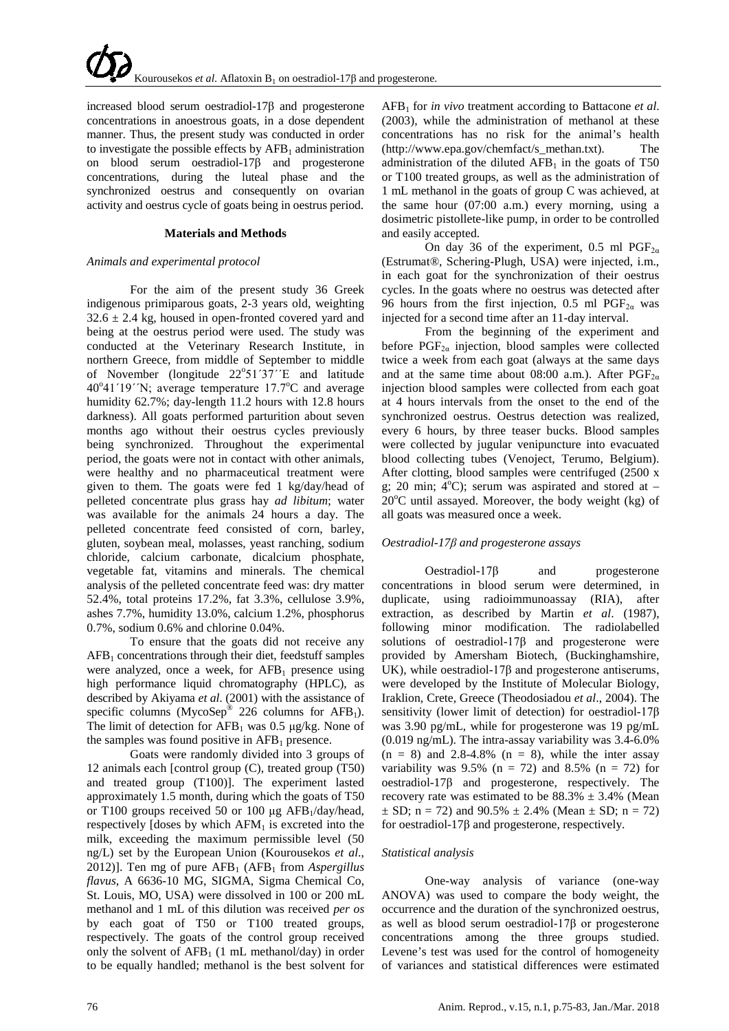increased blood serum oestradiol-17β and progesterone concentrations in anoestrous goats, in a dose dependent manner. Thus, the present study was conducted in order to investigate the possible effects by  $AFB<sub>1</sub>$  administration on blood serum oestradiol-17β and progesterone concentrations, during the luteal phase and the synchronized oestrus and consequently on ovarian activity and oestrus cycle of goats being in oestrus period.

## **Materials and Methods**

## *Animals and experimental protocol*

For the aim of the present study 36 Greek indigenous primiparous goats, 2-3 years old, weighting  $32.6 \pm 2.4$  kg, housed in open-fronted covered yard and being at the oestrus period were used. The study was conducted at the Veterinary Research Institute, in northern Greece, from middle of September to middle of November (longitude  $22^{\circ}51'37''E$  and latitude 40°41'19''N; average temperature 17.7°C and average humidity 62.7%; day-length 11.2 hours with 12.8 hours darkness). All goats performed parturition about seven months ago without their oestrus cycles previously being synchronized. Throughout the experimental period, the goats were not in contact with other animals, were healthy and no pharmaceutical treatment were given to them. The goats were fed 1 kg/day/head of pelleted concentrate plus grass hay *ad libitum*; water was available for the animals 24 hours a day. The pelleted concentrate feed consisted of corn, barley, gluten, soybean meal, molasses, yeast ranching, sodium chloride, calcium carbonate, dicalcium phosphate, vegetable fat, vitamins and minerals. The chemical analysis of the pelleted concentrate feed was: dry matter 52.4%, total proteins 17.2%, fat 3.3%, cellulose 3.9%, ashes 7.7%, humidity 13.0%, calcium 1.2%, phosphorus 0.7%, sodium 0.6% and chlorine 0.04%.

To ensure that the goats did not receive any  $AFB<sub>1</sub>$  concentrations through their diet, feedstuff samples were analyzed, once a week, for  $AFB<sub>1</sub>$  presence using high performance liquid chromatography (HPLC), as described by Akiyama *et al*. (2001) with the assistance of specific columns (MycoSep® 226 columns for  $AFB<sub>1</sub>$ ). The limit of detection for  $AFB<sub>1</sub>$  was 0.5 μg/kg. None of the samples was found positive in  $AFB<sub>1</sub>$  presence.

Goats were randomly divided into 3 groups of 12 animals each [control group (C), treated group (T50) and treated group (T100)]. The experiment lasted approximately 1.5 month, during which the goats of T50 or T100 groups received 50 or 100  $\mu$ g AFB<sub>1</sub>/day/head, respectively  $Id$ oses by which  $AFM<sub>1</sub>$  is excreted into the milk, exceeding the maximum permissible level (50 ng/L) set by the European Union (Kourousekos *et al*., 2012)]. Ten mg of pure AFB<sub>1</sub> (AFB<sub>1</sub> from *Aspergillus flavus*, A 6636-10 MG, SIGMA, Sigma Chemical Co, St. Louis, MO, USA) were dissolved in 100 or 200 mL methanol and 1 mL of this dilution was received *per os* by each goat of T50 or T100 treated groups, respectively. The goats of the control group received only the solvent of  $AFB<sub>1</sub>$  (1 mL methanol/day) in order to be equally handled; methanol is the best solvent for

AFB1 for *in vivo* treatment according to Battacone *et al*. (2003), while the administration of methanol at these concentrations has no risk for the animal's health (http://www.epa.gov/chemfact/s\_methan.txt). The administration of the diluted  $AFB<sub>1</sub>$  in the goats of T50 or T100 treated groups, as well as the administration of 1 mL methanol in the goats of group C was achieved, at the same hour (07:00 a.m.) every morning, using a dosimetric pistollete-like pump, in order to be controlled and easily accepted.

On day 36 of the experiment, 0.5 ml  $PGF_{2\alpha}$ (Estrumat®, Schering-Plugh, USA) were injected, i.m., in each goat for the synchronization of their oestrus cycles. In the goats where no oestrus was detected after 96 hours from the first injection, 0.5 ml  $PGF_{2\alpha}$  was injected for a second time after an 11-day interval.

From the beginning of the experiment and before  $PGF_{2a}$  injection, blood samples were collected twice a week from each goat (always at the same days and at the same time about 08:00 a.m.). After  $PGF_{2\alpha}$ injection blood samples were collected from each goat at 4 hours intervals from the onset to the end of the synchronized oestrus. Oestrus detection was realized, every 6 hours, by three teaser bucks. Blood samples were collected by jugular venipuncture into evacuated blood collecting tubes (Venoject, Terumo, Belgium). After clotting, blood samples were centrifuged (2500 x g; 20 min;  $4^{\circ}$ C); serum was aspirated and stored at - $20^{\circ}$ C until assayed. Moreover, the body weight (kg) of all goats was measured once a week.

# *Oestradiol-17β and progesterone assays*

Oestradiol-17β and progesterone concentrations in blood serum were determined, in duplicate, using radioimmunoassay (RIA), after extraction, as described by Martin *et al*. (1987), following minor modification. The radiolabelled solutions of oestradiol-17 $\beta$  and progesterone were provided by Amersham Biotech, (Buckinghamshire, UK), while oestradiol-17β and progesterone antiserums, were developed by the Institute of Molecular Biology, Iraklion, Crete, Greece (Theodosiadou *et al*., 2004). The sensitivity (lower limit of detection) for oestradiol-17β was 3.90 pg/mL, while for progesterone was 19 pg/mL (0.019 ng/mL). The intra-assay variability was 3.4-6.0%  $(n = 8)$  and 2.8-4.8%  $(n = 8)$ , while the inter assay variability was 9.5% (n = 72) and 8.5% (n = 72) for oestradiol-17β and progesterone, respectively. The recovery rate was estimated to be  $88.3\% \pm 3.4\%$  (Mean  $\pm$  SD; n = 72) and 90.5%  $\pm$  2.4% (Mean  $\pm$  SD; n = 72) for oestradiol-17β and progesterone, respectively.

# *Statistical analysis*

One-way analysis of variance (one-way ANOVA) was used to compare the body weight, the occurrence and the duration of the synchronized oestrus, as well as blood serum oestradiol-17β or progesterone concentrations among the three groups studied. Levene's test was used for the control of homogeneity of variances and statistical differences were estimated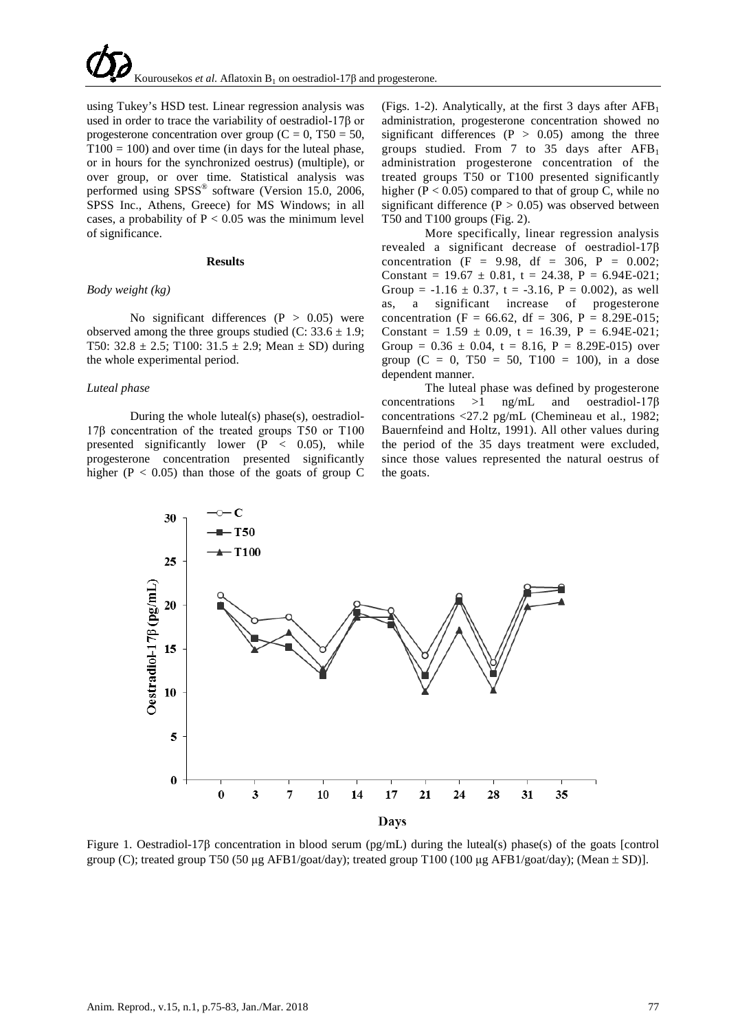using Tukey's HSD test. Linear regression analysis was used in order to trace the variability of oestradiol-17β or progesterone concentration over group ( $C = 0$ , T50 = 50,  $T100 = 100$ ) and over time (in days for the luteal phase, or in hours for the synchronized oestrus) (multiple), or over group, or over time. Statistical analysis was performed using SPSS® software (Version 15.0, 2006, SPSS Inc., Athens, Greece) for MS Windows; in all cases, a probability of  $P < 0.05$  was the minimum level of significance.

### **Results**

#### *Body weight (kg)*

No significant differences  $(P > 0.05)$  were observed among the three groups studied (C:  $33.6 \pm 1.9$ ; T50:  $32.8 \pm 2.5$ ; T100:  $31.5 \pm 2.9$ ; Mean  $\pm$  SD) during the whole experimental period.

#### *Luteal phase*

During the whole luteal(s) phase(s), oestradiol-17β concentration of the treated groups T50 or T100 presented significantly lower  $(P < 0.05)$ , while progesterone concentration presented significantly higher ( $P < 0.05$ ) than those of the goats of group C (Figs. 1-2). Analytically, at the first 3 days after  $AFB_1$ administration, progesterone concentration showed no significant differences ( $P > 0.05$ ) among the three groups studied. From 7 to 35 days after  $AFB<sub>1</sub>$ administration progesterone concentration of the treated groups T50 or T100 presented significantly higher ( $P < 0.05$ ) compared to that of group C, while no significant difference  $(P > 0.05)$  was observed between T50 and T100 groups (Fig. 2).

More specifically, linear regression analysis revealed a significant decrease of oestradiol-17β concentration (F = 9.98, df = 306, P = 0.002; Constant =  $19.67 \pm 0.81$ , t = 24.38, P = 6.94E-021; Group =  $-1.16 \pm 0.37$ , t =  $-3.16$ , P = 0.002), as well as, a significant increase of progesterone concentration (F = 66.62, df = 306, P = 8.29E-015; Constant =  $1.59 \pm 0.09$ , t = 16.39, P = 6.94E-021; Group =  $0.36 \pm 0.04$ , t = 8.16, P = 8.29E-015) over group  $(C = 0, T50 = 50, T100 = 100)$ , in a dose dependent manner.

The luteal phase was defined by progesterone concentrations >1 ng/mL and oestradiol-17β concentrations <27.2 pg/mL (Chemineau et al., 1982; Bauernfeind and Holtz, 1991). All other values during the period of the 35 days treatment were excluded, since those values represented the natural oestrus of the goats.



Figure 1. Oestradiol-17β concentration in blood serum (pg/mL) during the luteal(s) phase(s) of the goats [control group (C); treated group T50 (50 μg AFB1/goat/day); treated group T100 (100 μg AFB1/goat/day); (Mean  $\pm$  SD)].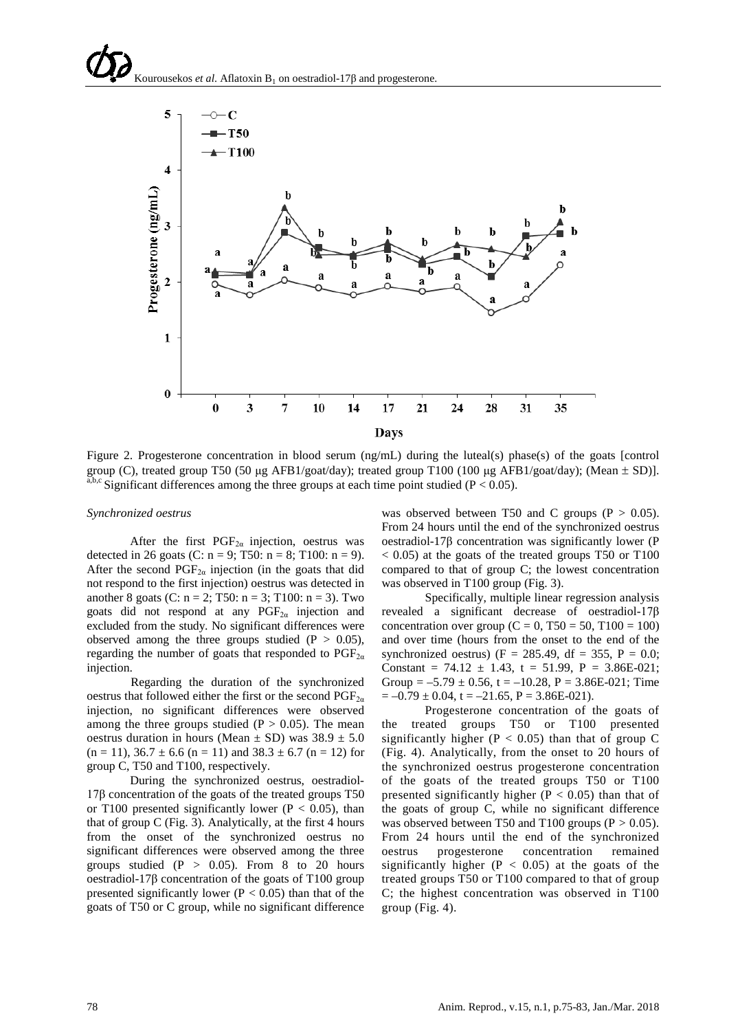

Figure 2. Progesterone concentration in blood serum (ng/mL) during the luteal(s) phase(s) of the goats [control group (C), treated group T50 (50 μg AFB1/goat/day); treated group T100 (100 μg AFB1/goat/day); (Mean  $\pm$  SD)]. a,b,c Significant differences among the three groups at each time point studied ( $P < 0.05$ ).

### *Synchronized oestrus*

After the first  $PGF_{2\alpha}$  injection, oestrus was detected in 26 goats (C:  $n = 9$ ; T50:  $n = 8$ ; T100:  $n = 9$ ). After the second  $PGF_{2\alpha}$  injection (in the goats that did not respond to the first injection) oestrus was detected in another 8 goats (C:  $n = 2$ ; T50:  $n = 3$ ; T100:  $n = 3$ ). Two goats did not respond at any  $PGF_{2\alpha}$  injection and excluded from the study. No significant differences were observed among the three groups studied  $(P > 0.05)$ , regarding the number of goats that responded to  $PGF_{2\alpha}$ injection.

Regarding the duration of the synchronized oestrus that followed either the first or the second  $PGF_{2\alpha}$ injection, no significant differences were observed among the three groups studied ( $P > 0.05$ ). The mean oestrus duration in hours (Mean  $\pm$  SD) was 38.9  $\pm$  5.0  $(n = 11)$ ,  $36.7 \pm 6.6$   $(n = 11)$  and  $38.3 \pm 6.7$   $(n = 12)$  for group C, T50 and T100, respectively.

During the synchronized oestrus, oestradiol-17β concentration of the goats of the treated groups T50 or T100 presented significantly lower ( $P < 0.05$ ), than that of group  $C$  (Fig. 3). Analytically, at the first 4 hours from the onset of the synchronized oestrus no significant differences were observed among the three groups studied  $(P > 0.05)$ . From 8 to 20 hours oestradiol-17β concentration of the goats of T100 group presented significantly lower ( $P < 0.05$ ) than that of the goats of T50 or C group, while no significant difference was observed between T50 and C groups ( $P > 0.05$ ). From 24 hours until the end of the synchronized oestrus oestradiol-17β concentration was significantly lower (P < 0.05) at the goats of the treated groups T50 or T100 compared to that of group C; the lowest concentration was observed in T100 group (Fig. 3).

Specifically, multiple linear regression analysis revealed a significant decrease of oestradiol-17β concentration over group ( $C = 0$ , T50 = 50, T100 = 100) and over time (hours from the onset to the end of the synchronized oestrus) (F = 285.49, df = 355, P = 0.0; Constant =  $74.12 \pm 1.43$ , t =  $51.99$ , P =  $3.86E-021$ ; Group =  $-5.79 \pm 0.56$ , t =  $-10.28$ , P = 3.86E-021; Time  $= -0.79 \pm 0.04$ , t  $= -21.65$ , P  $= 3.86E-021$ ).

Progesterone concentration of the goats of the treated groups T50 or T100 presented significantly higher ( $P < 0.05$ ) than that of group C (Fig. 4). Analytically, from the onset to 20 hours of the synchronized oestrus progesterone concentration of the goats of the treated groups T50 or T100 presented significantly higher ( $P < 0.05$ ) than that of the goats of group C, while no significant difference was observed between T50 and T100 groups ( $P > 0.05$ ). From 24 hours until the end of the synchronized oestrus progesterone concentration remained significantly higher ( $P < 0.05$ ) at the goats of the treated groups T50 or T100 compared to that of group C; the highest concentration was observed in T100 group (Fig. 4).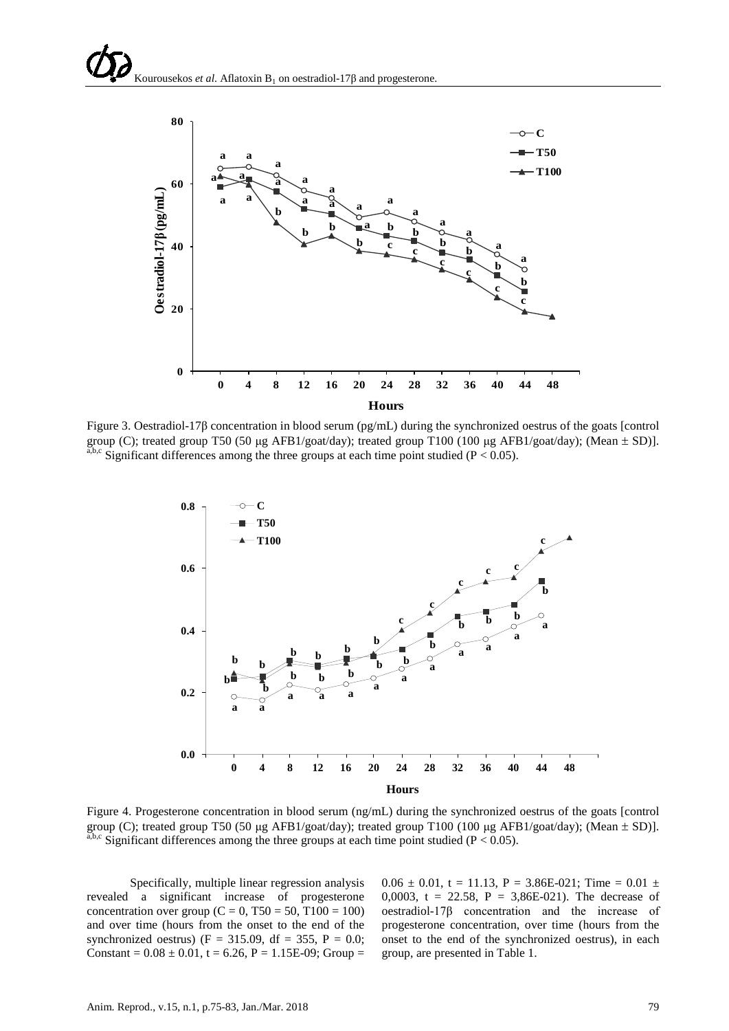

Figure 3. Oestradiol-17β concentration in blood serum (pg/mL) during the synchronized oestrus of the goats [control group (C); treated group T50 (50 μg AFB1/goat/day); treated group T100 (100 μg AFB1/goat/day); (Mean  $\pm$  SD)].  $a,b,c$  Significant differences among the three groups at each time point studied (P < 0.05).



Figure 4. Progesterone concentration in blood serum (ng/mL) during the synchronized oestrus of the goats [control group (C); treated group T50 (50 μg AFB1/goat/day); treated group T100 (100 μg AFB1/goat/day); (Mean  $\pm$  SD)].  $a,b,c$  Significant differences among the three groups at each time point studied (P < 0.05).

Specifically, multiple linear regression analysis revealed a significant increase of progesterone concentration over group (C = 0, T50 = 50, T100 = 100) and over time (hours from the onset to the end of the synchronized oestrus) (F = 315.09, df = 355, P = 0.0; Constant =  $0.08 \pm 0.01$ , t =  $6.26$ , P =  $1.15E-09$ ; Group =

 $0.06 \pm 0.01$ , t = 11.13, P = 3.86E-021; Time = 0.01  $\pm$ 0,0003, t = 22.58,  $P = 3,86E-021$ . The decrease of oestradiol-17β concentration and the increase of progesterone concentration, over time (hours from the onset to the end of the synchronized oestrus), in each group, are presented in Table 1.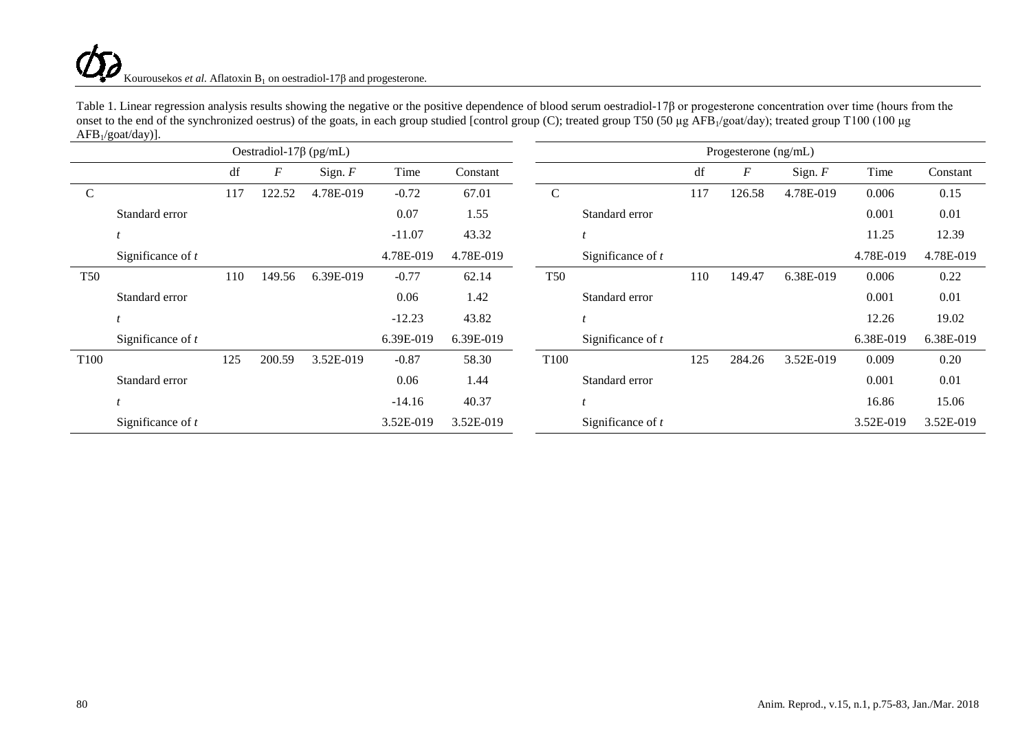# Kourousekos *et al*. Aflatoxin  $B_1$  on oestradiol-17 $\beta$  and progesterone.

|                               | $ATD_1/g0a0uay.$    |     |        |           |           |           |  |                      |                     |     |                  |           |           |           |  |
|-------------------------------|---------------------|-----|--------|-----------|-----------|-----------|--|----------------------|---------------------|-----|------------------|-----------|-----------|-----------|--|
| Oestradiol-17 $\beta$ (pg/mL) |                     |     |        |           |           |           |  | Progesterone (ng/mL) |                     |     |                  |           |           |           |  |
|                               |                     | df  | F      | Sign. $F$ | Time      | Constant  |  |                      |                     | df  | $\boldsymbol{F}$ | Sign. $F$ | Time      | Constant  |  |
| $\mathsf{C}$                  |                     | 117 | 122.52 | 4.78E-019 | $-0.72$   | 67.01     |  | $\mathcal{C}$        |                     | 117 | 126.58           | 4.78E-019 | 0.006     | 0.15      |  |
|                               | Standard error      |     |        |           | 0.07      | 1.55      |  |                      | Standard error      |     |                  |           | 0.001     | 0.01      |  |
|                               |                     |     |        |           | $-11.07$  | 43.32     |  |                      |                     |     |                  |           | 11.25     | 12.39     |  |
|                               | Significance of $t$ |     |        |           | 4.78E-019 | 4.78E-019 |  |                      | Significance of $t$ |     |                  |           | 4.78E-019 | 4.78E-019 |  |
| <b>T50</b>                    |                     | 110 | 149.56 | 6.39E-019 | $-0.77$   | 62.14     |  | <b>T50</b>           |                     | 110 | 149.47           | 6.38E-019 | 0.006     | 0.22      |  |
|                               | Standard error      |     |        |           | 0.06      | 1.42      |  |                      | Standard error      |     |                  |           | 0.001     | 0.01      |  |
|                               |                     |     |        |           | $-12.23$  | 43.82     |  |                      |                     |     |                  |           | 12.26     | 19.02     |  |
|                               | Significance of $t$ |     |        |           | 6.39E-019 | 6.39E-019 |  |                      | Significance of $t$ |     |                  |           | 6.38E-019 | 6.38E-019 |  |
| T <sub>100</sub>              |                     | 125 | 200.59 | 3.52E-019 | $-0.87$   | 58.30     |  | T <sub>100</sub>     |                     | 125 | 284.26           | 3.52E-019 | 0.009     | 0.20      |  |
|                               | Standard error      |     |        |           | 0.06      | 1.44      |  |                      | Standard error      |     |                  |           | 0.001     | 0.01      |  |
|                               |                     |     |        |           | $-14.16$  | 40.37     |  |                      |                     |     |                  |           | 16.86     | 15.06     |  |
|                               | Significance of $t$ |     |        |           | 3.52E-019 | 3.52E-019 |  |                      | Significance of $t$ |     |                  |           | 3.52E-019 | 3.52E-019 |  |

Table 1. Linear regression analysis results showing the negative or the positive dependence of blood serum oestradiol-17β or progesterone concentration over time (hours from the onset to the end of the synchronized oestrus) of the goats, in each group studied [control group (C); treated group T50 (50 µg AFB<sub>1</sub>/goat/day); treated group T100 (100 µg  $\triangle$ FB $/$ goat/day)].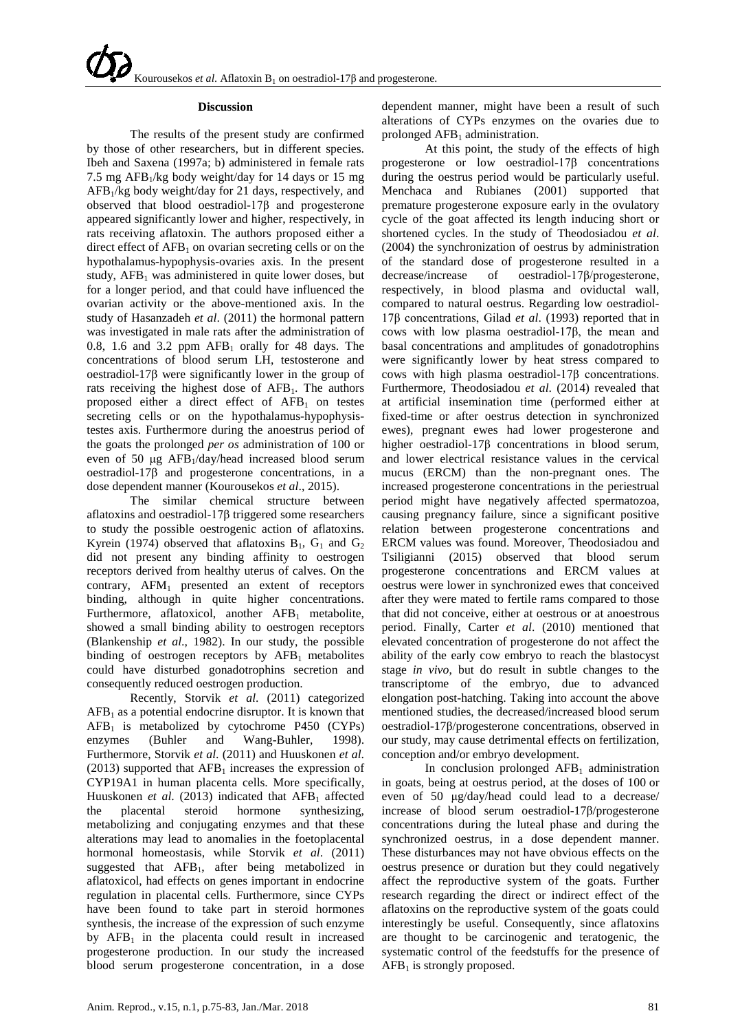#### **Discussion**

The results of the present study are confirmed by those of other researchers, but in different species. Ibeh and Saxena (1997a; b) administered in female rats 7.5 mg  $AFB<sub>1</sub>/kg$  body weight/day for 14 days or 15 mg AFB1/kg body weight/day for 21 days, respectively, and observed that blood oestradiol-17β and progesterone appeared significantly lower and higher, respectively, in rats receiving aflatoxin. The authors proposed either a direct effect of  $AFB<sub>1</sub>$  on ovarian secreting cells or on the hypothalamus-hypophysis-ovaries axis. In the present study,  $AFB<sub>1</sub>$  was administered in quite lower doses, but for a longer period, and that could have influenced the ovarian activity or the above-mentioned axis. In the study of Hasanzadeh *et al*. (2011) the hormonal pattern was investigated in male rats after the administration of 0.8, 1.6 and 3.2 ppm  $AFB<sub>1</sub>$  orally for 48 days. The concentrations of blood serum LH, testosterone and oestradiol-17β were significantly lower in the group of rats receiving the highest dose of  $AFB<sub>1</sub>$ . The authors proposed either a direct effect of  $AFB<sub>1</sub>$  on testes secreting cells or on the hypothalamus-hypophysistestes axis. Furthermore during the anoestrus period of the goats the prolonged *per os* administration of 100 or even of 50 μg AFB1/day/head increased blood serum oestradiol-17β and progesterone concentrations, in a dose dependent manner (Kourousekos *et al*., 2015).

The similar chemical structure between aflatoxins and oestradiol-17β triggered some researchers to study the possible oestrogenic action of aflatoxins. Kyrein (1974) observed that aflatoxins  $B_1$ ,  $G_1$  and  $G_2$ did not present any binding affinity to oestrogen receptors derived from healthy uterus of calves. On the contrary,  $AFM<sub>1</sub>$  presented an extent of receptors binding, although in quite higher concentrations. Furthermore, aflatoxicol, another  $AFB<sub>1</sub>$  metabolite, showed a small binding ability to oestrogen receptors (Blankenship *et al*., 1982). In our study, the possible binding of oestrogen receptors by  $AFB<sub>1</sub>$  metabolites could have disturbed gonadotrophins secretion and consequently reduced oestrogen production.

Recently, Storvik *et al*. (2011) categorized  $AFB<sub>1</sub>$  as a potential endocrine disruptor. It is known that  $AFB<sub>1</sub>$  is metabolized by cytochrome P450 (CYPs)<br>enzymes (Buhler and Wang-Buhler, 1998). enzymes (Buhler and Wang-Buhler, 1998). Furthermore, Storvik *et al*. (2011) and Huuskonen *et al*. (2013) supported that  $AFB<sub>1</sub>$  increases the expression of CYP19A1 in human placenta cells. More specifically, Huuskonen *et al.* (2013) indicated that AFB<sub>1</sub> affected the placental steroid hormone synthesizing, the placental steroid hormone synthesizing, metabolizing and conjugating enzymes and that these alterations may lead to anomalies in the foetoplacental hormonal homeostasis, while Storvik *et al*. (2011) suggested that AFB<sub>1</sub>, after being metabolized in aflatoxicol, had effects on genes important in endocrine regulation in placental cells. Furthermore, since CYPs have been found to take part in steroid hormones synthesis, the increase of the expression of such enzyme by  $AFB<sub>1</sub>$  in the placenta could result in increased progesterone production. In our study the increased blood serum progesterone concentration, in a dose

dependent manner, might have been a result of such alterations of CYPs enzymes on the ovaries due to prolonged  $AFB<sub>1</sub>$  administration.

At this point, the study of the effects of high progesterone or low oestradiol-17β concentrations during the oestrus period would be particularly useful. Menchaca and Rubianes (2001) supported that premature progesterone exposure early in the ovulatory cycle of the goat affected its length inducing short or shortened cycles. In the study of Theodosiadou *et al*. (2004) the synchronization of oestrus by administration of the standard dose of progesterone resulted in a decrease/increase of oestradiol-17β/progesterone, respectively, in blood plasma and oviductal wall, compared to natural oestrus. Regarding low oestradiol-17β concentrations, Gilad *et al*. (1993) reported that in cows with low plasma oestradiol-17β, the mean and basal concentrations and amplitudes of gonadotrophins were significantly lower by heat stress compared to cows with high plasma oestradiol-17β concentrations. Furthermore, Theodosiadou *et al*. (2014) revealed that at artificial insemination time (performed either at fixed-time or after oestrus detection in synchronized ewes), pregnant ewes had lower progesterone and higher oestradiol-17β concentrations in blood serum, and lower electrical resistance values in the cervical mucus (ERCM) than the non-pregnant ones. The increased progesterone concentrations in the periestrual period might have negatively affected spermatozoa, causing pregnancy failure, since a significant positive relation between progesterone concentrations and ERCM values was found. Moreover, Theodosiadou and Tsiligianni (2015) observed that blood serum progesterone concentrations and ERCM values at oestrus were lower in synchronized ewes that conceived after they were mated to fertile rams compared to those that did not conceive, either at oestrous or at anoestrous period. Finally, Carter *et al*. (2010) mentioned that elevated concentration of progesterone do not affect the ability of the early cow embryo to reach the blastocyst stage *in vivo*, but do result in subtle changes to the transcriptome of the embryo, due to advanced elongation post-hatching. Taking into account the above mentioned studies, the decreased/increased blood serum oestradiol-17β/progesterone concentrations, observed in our study, may cause detrimental effects on fertilization, conception and/or embryo development.

In conclusion prolonged  $AFB<sub>1</sub>$  administration in goats, being at oestrus period, at the doses of 100 or even of 50 μg/day/head could lead to a decrease/ increase of blood serum oestradiol-17β/progesterone concentrations during the luteal phase and during the synchronized oestrus, in a dose dependent manner. These disturbances may not have obvious effects on the oestrus presence or duration but they could negatively affect the reproductive system of the goats. Further research regarding the direct or indirect effect of the aflatoxins on the reproductive system of the goats could interestingly be useful. Consequently, since aflatoxins are thought to be carcinogenic and teratogenic, the systematic control of the feedstuffs for the presence of  $AFB<sub>1</sub>$  is strongly proposed.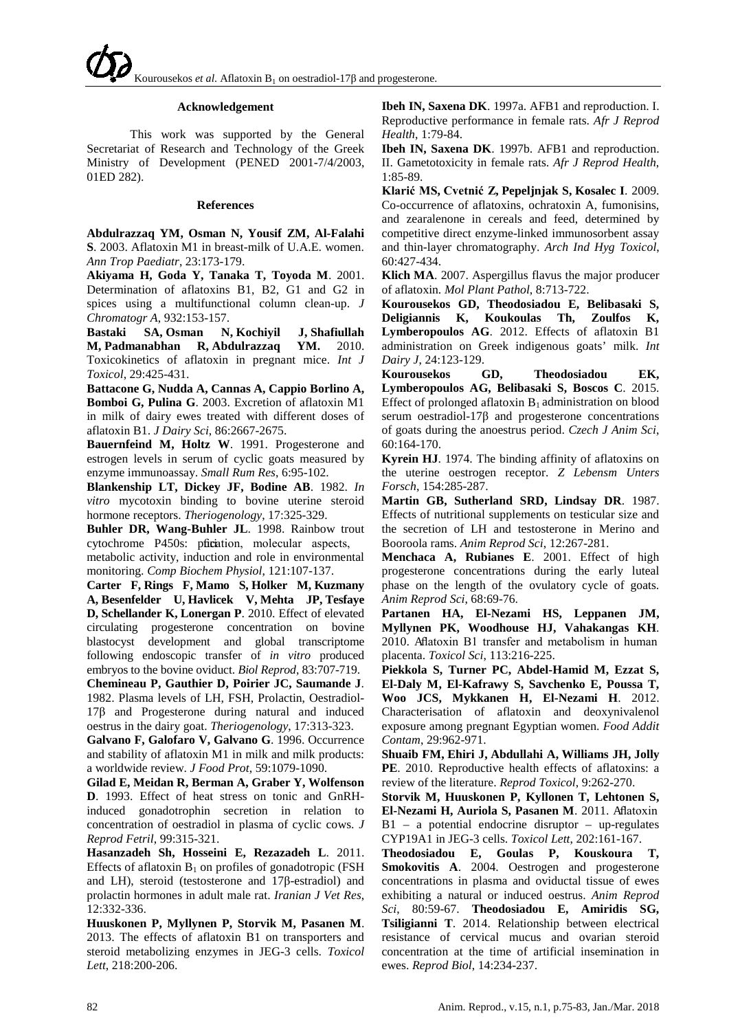#### **Acknowledgement**

This work was supported by the General Secretariat of Research and Technology of the Greek Ministry of Development (PENED 2001-7/4/2003, 01ED 282).

#### **References**

**Abdulrazzaq YM, Osman N, Yousif ZM, Al-Falahi S**. 2003. Aflatoxin M1 in breast-milk of U.A.E. women. *Ann Trop Paediatr*, 23:173-179.

**Akiyama H, Goda Y, Tanaka T, Toyoda M**. 2001. Determination of aflatoxins B1, B2, G1 and G2 in spices using a multifunctional column clean-up. *J Chromatogr A*, 932:153-157.

**[Bastaki SA,](http://www.ncbi.nlm.nih.gov/pubmed?term=%22Bastaki%20SA%22%5BAuthor%5D) [Osman N,](http://www.ncbi.nlm.nih.gov/pubmed?term=%22Osman%20N%22%5BAuthor%5D) [Kochiyil J,](http://www.ncbi.nlm.nih.gov/pubmed?term=%22Kochiyil%20J%22%5BAuthor%5D) [Shafiullah](http://www.ncbi.nlm.nih.gov/pubmed?term=%22Shafiullah%20M%22%5BAuthor%5D)  [M,](http://www.ncbi.nlm.nih.gov/pubmed?term=%22Shafiullah%20M%22%5BAuthor%5D) [Padmanabhan R,](http://www.ncbi.nlm.nih.gov/pubmed?term=%22Padmanabhan%20R%22%5BAuthor%5D) [Abdulrazzaq YM.](http://www.ncbi.nlm.nih.gov/pubmed?term=%22Abdulrazzaq%20YM%22%5BAuthor%5D)** 2010. Toxicokinetics of aflatoxin in pregnant mice. *Int J Toxicol*, 29:425-431.

**Battacone G, Nudda A, Cannas A, Cappio Borlino A, Bomboi G, Pulina G**. 2003. Excretion of aflatoxin M1 in milk of dairy ewes treated with different doses of aflatoxin B1. *J Dairy Sci*, 86:2667-2675.

**Bauernfeind M, Holtz W**. 1991. Progesterone and estrogen levels in serum of cyclic goats measured by enzyme immunoassay. *Small Rum Res*, 6:95-102.

**Blankenship LT, Dickey JF, Bodine AB**. 1982. *In vitro* mycotoxin binding to bovine uterine steroid hormone receptors. *Theriogenology*, 17:325-329.

**Buhler DR, Wang-Buhler JL**. 1998. Rainbow trout cytochrome P450s: pfication, molecular aspects, metabolic activity, induction and role in environmental

monitoring. *Comp Biochem Physiol*, 121:107-137. **[Carter](http://www.ncbi.nlm.nih.gov/pubmed?term=%22Carter%20F%22%5BAuthor%5D) F, [Rings](http://www.ncbi.nlm.nih.gov/pubmed?term=%22Rings%20F%22%5BAuthor%5D) F, [Mamo](http://www.ncbi.nlm.nih.gov/pubmed?term=%22Mamo%20S%22%5BAuthor%5D) S, [Holker](http://www.ncbi.nlm.nih.gov/pubmed?term=%22Holker%20M%22%5BAuthor%5D) M, [Kuzmany](http://www.ncbi.nlm.nih.gov/pubmed?term=%22Kuzmany%20A%22%5BAuthor%5D) [A,](http://www.ncbi.nlm.nih.gov/pubmed?term=%22Kuzmany%20A%22%5BAuthor%5D) [Besenfelder](http://www.ncbi.nlm.nih.gov/pubmed?term=%22Besenfelder%20U%22%5BAuthor%5D) U, [Havlicek](http://www.ncbi.nlm.nih.gov/pubmed?term=%22Havlicek%20V%22%5BAuthor%5D) V, [Mehta](http://www.ncbi.nlm.nih.gov/pubmed?term=%22Mehta%20JP%22%5BAuthor%5D) JP, [Tesfaye](http://www.ncbi.nlm.nih.gov/pubmed?term=%22Tesfaye%20D%22%5BAuthor%5D) [D,](http://www.ncbi.nlm.nih.gov/pubmed?term=%22Tesfaye%20D%22%5BAuthor%5D) [Schellander](http://www.ncbi.nlm.nih.gov/pubmed?term=%22Schellander%20K%22%5BAuthor%5D) K, [Lonergan](http://www.ncbi.nlm.nih.gov/pubmed?term=%22Lonergan%20P%22%5BAuthor%5D) P**. 2010. Effect of elevated circulating progesterone concentration on bovine blastocyst development and global transcriptome following endoscopic transfer of *in vitro* produced

embryos to the bovine oviduct. *Biol Reprod*, 83:707-719. **Chemineau P, Gauthier D, Poirier JC, Saumande J**. 1982. Plasma levels of LH, FSH, Prolactin, Oestradiol-17β and Progesterone during natural and induced

oestrus in the dairy goat. *Theriogenology*, 17:313-323. **Galvano F, Galofaro V, Galvano G**. 1996. Occurrence

and stability of aflatoxin M1 in milk and milk products: a worldwide review. *J Food Prot*, 59:1079-1090.

**[Gilad](http://www.reproduction-online.org/search?author1=E.+Gilad&sortspec=date&submit=Submit) E, [Meidan](http://www.reproduction-online.org/search?author1=R.+Meidan&sortspec=date&submit=Submit) R, [Berman](http://www.reproduction-online.org/search?author1=A.+Berman&sortspec=date&submit=Submit) A, [Graber](http://www.reproduction-online.org/search?author1=Y.+Graber&sortspec=date&submit=Submit) Y, [Wolfenson](http://www.reproduction-online.org/search?author1=D.+Wolfenson&sortspec=date&submit=Submit) D**. 1993. Effect of heat stress on tonic and GnRHinduced gonadotrophin secretion in relation to concentration of oestradiol in plasma of cyclic cows. *J Reprod Fetril*, 99:315-321.

**Hasanzadeh Sh, Hosseini E, Rezazadeh L**. 2011. Effects of aflatoxin  $B_1$  on profiles of gonadotropic (FSH and LH), steroid (testosterone and 17β-estradiol) and prolactin hormones in adult male rat. *Iranian J Vet Res*, 12:332-336.

**Huuskonen P, Myllynen P, Storvik M, Pasanen M**. 2013. The effects of aflatoxin B1 on transporters and steroid metabolizing enzymes in JEG-3 cells. *Toxicol Lett*, 218:200-206.

**Ibeh IN, Saxena DK**. 1997a. AFB1 and reproduction. I. Reproductive performance in female rats. *Afr J Reprod Health*, 1:79-84.

**Ibeh IN, Saxena DK**. 1997b. AFB1 and reproduction. II. Gametotoxicity in female rats. *Afr J Reprod Health*, 1:85-89.

**[Klarić MS](http://www.ncbi.nlm.nih.gov/pubmed?term=%22Klari%C4%87%20MS%22%5BAuthor%5D), [Cvetnić Z](http://www.ncbi.nlm.nih.gov/pubmed?term=%22Cvetni%C4%87%20Z%22%5BAuthor%5D), [Pepeljnjak S,](http://www.ncbi.nlm.nih.gov/pubmed?term=%22Pepeljnjak%20S%22%5BAuthor%5D) [Kosalec I](http://www.ncbi.nlm.nih.gov/pubmed?term=%22Kosalec%20I%22%5BAuthor%5D)**. 2009. Co-occurrence of aflatoxins, ochratoxin A, fumonisins, and zearalenone in cereals and feed, determined by competitive direct enzyme-linked immunosorbent assay and thin-layer chromatography. *Arch Ind Hyg Toxicol*, 60:427-434.

**Klich MA**. 2007. Aspergillus flavus the major producer of aflatoxin. *Mol Plant Pathol*, 8:713-722.

**Kourousekos GD, Theodosiadou E, Belibasaki S, Deligiannis K, Koukoulas Th, Zoulfos K, Lymberopoulos AG**. 2012. Effects of aflatoxin B1 administration on Greek indigenous goats' milk. *Int Dairy J*, 24:123-129.

**Kourousekos GD, Theodosiadou EK, Lymberopoulos AG, Belibasaki S, Boscos C**. 2015. Effect of prolonged aflatoxin  $B_1$  administration on blood serum oestradiol-17β and progesterone concentrations of goats during the anoestrus period. *Czech J Anim Sci*, 60:164-170.

**Kyrein HJ**. 1974. The binding affinity of aflatoxins on the uterine oestrogen receptor. *Z Lebensm Unters Forsch*, 154:285-287.

**Martin GB, Sutherland SRD, Lindsay DR**. 1987. Effects of nutritional supplements on testicular size and the secretion of LH and testosterone in Merino and Booroola rams. *Anim Reprod Sci*, 12:267-281.

**Menchaca A, Rubianes E**. 2001. Effect of high progesterone concentrations during the early luteal phase on the length of the ovulatory cycle of goats. *Anim Reprod Sci*, 68:69-76.

**Partanen HA, El-Nezami HS, Leppanen JM, Myllynen PK, Woodhouse HJ, Vahakangas KH**. 2010. Aflatoxin B1 transfer and metabolism in human placenta. *Toxicol Sci*, 113:216-225.

**Piekkola S, Turner PC, Abdel-Hamid M, Ezzat S, El-Daly M, El-Kafrawy S, Savchenko E, Poussa T, Woo JCS, Mykkanen H, El-Nezami H**. 2012. Characterisation of aflatoxin and deoxynivalenol exposure among pregnant Egyptian women. *Food Addit Contam*, 29:962-971.

**[Shuaib FM,](http://www.ncbi.nlm.nih.gov/pubmed?term=%22Shuaib%20FM%22%5BAuthor%5D) [Ehiri J,](http://www.ncbi.nlm.nih.gov/pubmed?term=%22Ehiri%20J%22%5BAuthor%5D) [Abdullahi A,](http://www.ncbi.nlm.nih.gov/pubmed?term=%22Abdullahi%20A%22%5BAuthor%5D) [Williams JH,](http://www.ncbi.nlm.nih.gov/pubmed?term=%22Williams%20JH%22%5BAuthor%5D) [Jolly](http://www.ncbi.nlm.nih.gov/pubmed?term=%22Jolly%20PE%22%5BAuthor%5D)  [PE](http://www.ncbi.nlm.nih.gov/pubmed?term=%22Jolly%20PE%22%5BAuthor%5D)**. 2010. Reproductive health effects of aflatoxins: a review of the literature. *Reprod Toxicol*, 9:262-270.

**Storvik M, Huuskonen P, Kyllonen T, Lehtonen S, El-Nezami H, Auriola S, Pasanen M**. 2011. Aflatoxin B1 – a potential endocrine disruptor – up-regulates CYP19A1 in JEG-3 cells. *Toxicol Lett*, 202:161-167.

**Theodosiadou E, Goulas P, Kouskoura T, Smokovitis A**. 2004. Oestrogen and progesterone concentrations in plasma and oviductal tissue of ewes exhibiting a natural or induced oestrus. *Anim Reprod Sci*, 80:59-67. **Theodosiadou E, Amiridis SG, Tsiligianni T**. 2014. Relationship between electrical resistance of cervical mucus and ovarian steroid concentration at the time of artificial insemination in ewes. *Reprod Biol*, 14:234-237.